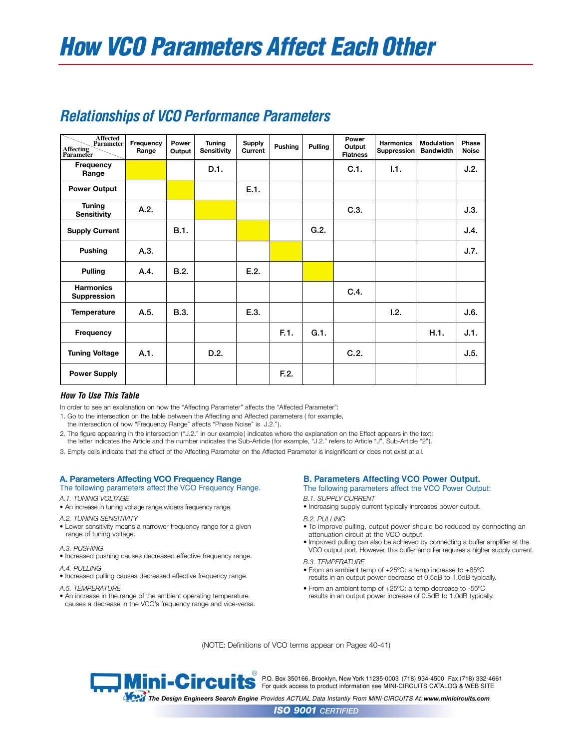| <b>Affected</b><br>Parameter<br>Affecting<br>Parameter | Frequency<br>Range | Power<br>Output | Tuning<br><b>Sensitivity</b> | <b>Supply</b><br>Current | Pushing | Pulling | Power<br>Output<br><b>Flatness</b> | <b>Harmonics</b><br>Suppression | <b>Modulation</b><br><b>Bandwidth</b> | Phase<br><b>Noise</b> |
|--------------------------------------------------------|--------------------|-----------------|------------------------------|--------------------------|---------|---------|------------------------------------|---------------------------------|---------------------------------------|-----------------------|
| Frequency<br>Range                                     |                    |                 | D.1.                         |                          |         |         | C.1.                               | 1.1.                            |                                       | J.2.                  |
| <b>Power Output</b>                                    |                    |                 |                              | E.1.                     |         |         |                                    |                                 |                                       |                       |
| <b>Tuning</b><br><b>Sensitivity</b>                    | A.2.               |                 |                              |                          |         |         | C.3.                               |                                 |                                       | J.3.                  |
| <b>Supply Current</b>                                  |                    | <b>B.1.</b>     |                              |                          |         | G.2.    |                                    |                                 |                                       | J.4.                  |
| <b>Pushing</b>                                         | A.3.               |                 |                              |                          |         |         |                                    |                                 |                                       | J.7.                  |
| <b>Pulling</b>                                         | A.4.               | B.2.            |                              | E.2.                     |         |         |                                    |                                 |                                       |                       |
| <b>Harmonics</b><br><b>Suppression</b>                 |                    |                 |                              |                          |         |         | C.4.                               |                                 |                                       |                       |
| <b>Temperature</b>                                     | A.5.               | <b>B.3.</b>     |                              | E.3.                     |         |         |                                    | 1.2.                            |                                       | J.6.                  |
| Frequency                                              |                    |                 |                              |                          | F.1.    | G.1.    |                                    |                                 | H.1.                                  | J.1.                  |
| <b>Tuning Voltage</b>                                  | A.1.               |                 | D.2.                         |                          |         |         | C.2.                               |                                 |                                       | J.5.                  |
| <b>Power Supply</b>                                    |                    |                 |                              |                          | F.2.    |         |                                    |                                 |                                       |                       |

# *Relationships of VCO Performance Parameters*

### *How To Use This Table*

In order to see an explanation on how the "Affecting Parameter" affects the "Affected Parameter":

1. Go to the intersection on the table between the Affecting and Affected parameters ( for example,

the intersection of how "Frequency Range" affects "Phase Noise" is J.2.").

2. The figure appearing in the intersection ("J.2." in our example ) indicates where the explanation on the Effect appears in the text: the letter indicates the Article and the number indicates the Sub-Article (for example, "J.2." refers to Article "J", Sub-Article "2").

3. Empty cells indicate that the effect of the Affecting Parameter on the Affected Parameter is insignificant or does not exist at all.

### **A. Parameters Affecting VCO Frequency Range**

- The following parameters affect the VCO Frequency Range.
- *A.1. TUNING VOLTAGE*
- An increase in tuning voltage range widens frequency range.
- *A.2. TUNING SENSITIVITY*
- Lower sensitivity means a narrower frequency range for a given range of tuning voltage.
- *A.3. PUSHING*
- Increased pushing causes decreased effective frequency range.
- *A.4. PULLING*
- Increased pulling causes decreased effective frequency range.
- *A.5. TEMPERATURE*
- An increase in the range of the ambient operating temperature causes a decrease in the VCO's frequency range and vice-versa.

### **B. Parameters Affecting VCO Power Output.**

The following parameters affect the VCO Power Output:

### *B.1. SUPPLY CURRENT*

• Increasing supply current typically increases power output.

#### *B.2. PULLING*

- To improve pulling, output power should be reduced by connecting an attenuation circuit at the VCO output.
- Improved pulling can also be achieved by connecting a buffer amplifier at the VCO output port. However, this buffer amplifier requires a higher supply current.

#### *B.3. TEMPERATURE.*

- From an ambient temp of +25ºC: a temp increase to +85ºC results in an output power decrease of 0.5dB to 1.0dB typically.
- From an ambient temp of +25ºC: a temp decrease to -55ºC results in an output power increase of 0.5dB to 1.0dB typically.

(NOTE: Definitions of VCO terms appear on Pages 40-41)

®<br>● P.O. Box 350166, Brooklyn, New York 11235-0003(718) 934-4500 Fax (718) 332-4661 For quick access to product information see MINI-CIRCUITS CATALOG & WEB SITE

™<br>The Design Engineers Search Engine Provides ACTUAL Data Instantly From MINI-CIRCUITS At: www.minicircuits.com

*ISO 9001 CERTIFIED*